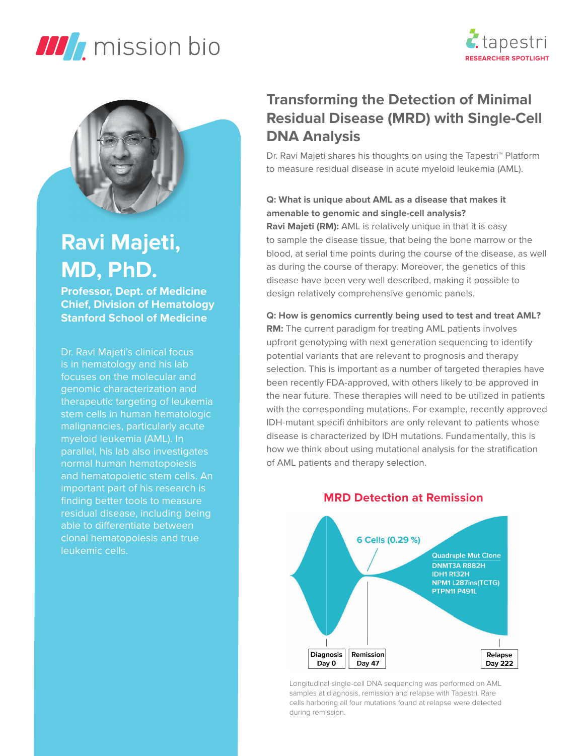





# **Ravi Majeti, MD, PhD.**

**Professor, Dept. of Medicine Chief, Division of Hematology Stanford School of Medicine**

Dr. Ravi Majeti's clinical focus is in hematology and his lab focuses on the molecular and genomic characterization and therapeutic targeting of leukemia stem cells in human hematologic malignancies, particularly acute myeloid leukemia (AML). In parallel, his lab also investigates normal human hematopoiesis and hematopoietic stem cells. An important part of his research is finding better tools to measure residual disease, including being able to differentiate between clonal hematopoiesis and true leukemic cells.

# **Transforming the Detection of Minimal Residual Disease (MRD) with Single-Cell DNA Analysis**

Dr. Ravi Majeti shares his thoughts on using the Tapestri™ Platform to measure residual disease in acute myeloid leukemia (AML).

# **Q: What is unique about AML as a disease that makes it amenable to genomic and single-cell analysis?**

**Ravi Majeti (RM):** AML is relatively unique in that it is easy to sample the disease tissue, that being the bone marrow or the blood, at serial time points during the course of the disease, as well as during the course of therapy. Moreover, the genetics of this disease have been very well described, making it possible to design relatively comprehensive genomic panels.

**Q: How is genomics currently being used to test and treat AML? RM:** The current paradigm for treating AML patients involves upfront genotyping with next generation sequencing to identify potential variants that are relevant to prognosis and therapy selection. This is important as a number of targeted therapies have been recently FDA-approved, with others likely to be approved in the near future. These therapies will need to be utilized in patients with the corresponding mutations. For example, recently approved IDH-mutant specifi cnhibitors are only relevant to patients whose disease is characterized by IDH mutations. Fundamentally, this is how we think about using mutational analysis for the stratification of AML patients and therapy selection.



## **MRD Detection at Remission**

Longitudinal single-cell DNA sequencing was performed on AML samples at diagnosis, remission and relapse with Tapestri. Rare cells harboring all four mutations found at relapse were detected during remission.